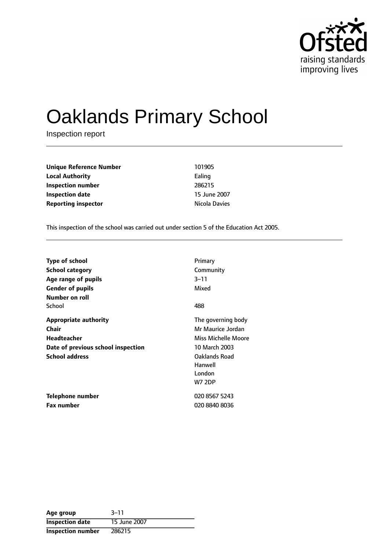

# Oaklands Primary School

Inspection report

| <b>Unique Reference Number</b> | 101905        |
|--------------------------------|---------------|
| <b>Local Authority</b>         | Ealing        |
| Inspection number              | 286215        |
| Inspection date                | 15 June 2007  |
| <b>Reporting inspector</b>     | Nicola Davies |

This inspection of the school was carried out under section 5 of the Education Act 2005.

| <b>Type of school</b>                                                                                                      | Primary                                                                                                                                |
|----------------------------------------------------------------------------------------------------------------------------|----------------------------------------------------------------------------------------------------------------------------------------|
| School category                                                                                                            | Community                                                                                                                              |
| Age range of pupils                                                                                                        | 3–11                                                                                                                                   |
| <b>Gender of pupils</b>                                                                                                    | Mixed                                                                                                                                  |
| Number on roll<br>School                                                                                                   | 488                                                                                                                                    |
| <b>Appropriate authority</b><br>Chair<br><b>Headteacher</b><br>Date of previous school inspection<br><b>School address</b> | The governing body<br>Mr Maurice Jordan<br>Miss Michelle Moore<br>10 March 2003<br>Oaklands Road<br>Hanwell<br>London<br><b>W7 2DP</b> |
| Telephone number                                                                                                           | 020 8567 5243                                                                                                                          |
| <b>Fax number</b>                                                                                                          | 020 8840 8036                                                                                                                          |

| Age group              | $3 - 11$     |
|------------------------|--------------|
| <b>Inspection date</b> | 15 June 2007 |
| Inspection number      | 286215       |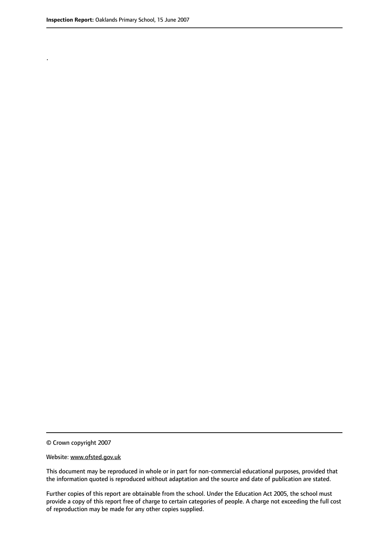.

© Crown copyright 2007

#### Website: www.ofsted.gov.uk

This document may be reproduced in whole or in part for non-commercial educational purposes, provided that the information quoted is reproduced without adaptation and the source and date of publication are stated.

Further copies of this report are obtainable from the school. Under the Education Act 2005, the school must provide a copy of this report free of charge to certain categories of people. A charge not exceeding the full cost of reproduction may be made for any other copies supplied.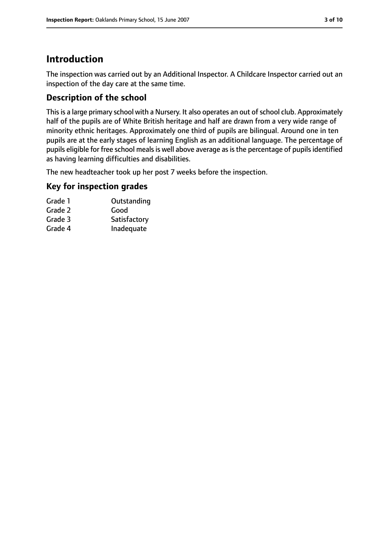# **Introduction**

The inspection was carried out by an Additional Inspector. A Childcare Inspector carried out an inspection of the day care at the same time.

# **Description of the school**

This is a large primary school with a Nursery. It also operates an out of school club. Approximately half of the pupils are of White British heritage and half are drawn from a very wide range of minority ethnic heritages. Approximately one third of pupils are bilingual. Around one in ten pupils are at the early stages of learning English as an additional language. The percentage of pupils eligible for free school meals is well above average as is the percentage of pupils identified as having learning difficulties and disabilities.

The new headteacher took up her post 7 weeks before the inspection.

## **Key for inspection grades**

| Grade 1 | Outstanding  |
|---------|--------------|
| Grade 2 | Good         |
| Grade 3 | Satisfactory |
| Grade 4 | Inadequate   |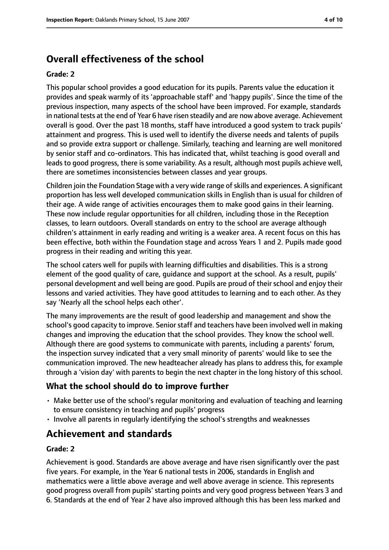# **Overall effectiveness of the school**

#### **Grade: 2**

This popular school provides a good education for its pupils. Parents value the education it provides and speak warmly of its 'approachable staff' and 'happy pupils'. Since the time of the previous inspection, many aspects of the school have been improved. For example, standards in national tests at the end of Year 6 have risen steadily and are now above average. Achievement overall is good. Over the past 18 months, staff have introduced a good system to track pupils' attainment and progress. This is used well to identify the diverse needs and talents of pupils and so provide extra support or challenge. Similarly, teaching and learning are well monitored by senior staff and co-ordinators. This has indicated that, whilst teaching is good overall and leads to good progress, there is some variability. As a result, although most pupils achieve well, there are sometimes inconsistencies between classes and year groups.

Children join the Foundation Stage with a very wide range of skills and experiences. A significant proportion has less well developed communication skills in English than is usual for children of their age. A wide range of activities encourages them to make good gains in their learning. These now include regular opportunities for all children, including those in the Reception classes, to learn outdoors. Overall standards on entry to the school are average although children's attainment in early reading and writing is a weaker area. A recent focus on this has been effective, both within the Foundation stage and across Years 1 and 2. Pupils made good progress in their reading and writing this year.

The school caters well for pupils with learning difficulties and disabilities. This is a strong element of the good quality of care, guidance and support at the school. As a result, pupils' personal development and well being are good. Pupils are proud of their school and enjoy their lessons and varied activities. They have good attitudes to learning and to each other. As they say 'Nearly all the school helps each other'.

The many improvements are the result of good leadership and management and show the school's good capacity to improve. Senior staff and teachers have been involved well in making changes and improving the education that the school provides. They know the school well. Although there are good systems to communicate with parents, including a parents' forum, the inspection survey indicated that a very small minority of parents' would like to see the communication improved. The new headteacher already has plans to address this, for example through a 'vision day' with parents to begin the next chapter in the long history of this school.

## **What the school should do to improve further**

- Make better use of the school's regular monitoring and evaluation of teaching and learning to ensure consistency in teaching and pupils' progress
- Involve all parents in regularly identifying the school's strengths and weaknesses

# **Achievement and standards**

#### **Grade: 2**

Achievement is good. Standards are above average and have risen significantly over the past five years. For example, in the Year 6 national tests in 2006, standards in English and mathematics were a little above average and well above average in science. This represents good progress overall from pupils' starting points and very good progress between Years 3 and 6. Standards at the end of Year 2 have also improved although this has been less marked and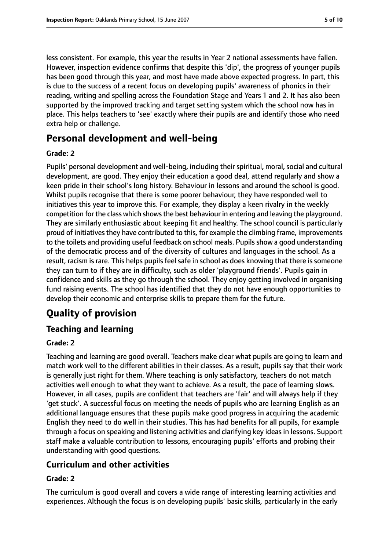less consistent. For example, this year the results in Year 2 national assessments have fallen. However, inspection evidence confirms that despite this 'dip', the progress of younger pupils has been good through this year, and most have made above expected progress. In part, this is due to the success of a recent focus on developing pupils' awareness of phonics in their reading, writing and spelling across the Foundation Stage and Years 1 and 2. It has also been supported by the improved tracking and target setting system which the school now has in place. This helps teachers to 'see' exactly where their pupils are and identify those who need extra help or challenge.

# **Personal development and well-being**

#### **Grade: 2**

Pupils' personal development and well-being, including their spiritual, moral, social and cultural development, are good. They enjoy their education a good deal, attend regularly and show a keen pride in their school's long history. Behaviour in lessons and around the school is good. Whilst pupils recognise that there is some poorer behaviour, they have responded well to initiatives this year to improve this. For example, they display a keen rivalry in the weekly competition for the class which showsthe best behaviour in entering and leaving the playground. They are similarly enthusiastic about keeping fit and healthy. The school council is particularly proud of initiatives they have contributed to this, for example the climbing frame, improvements to the toilets and providing useful feedback on school meals. Pupils show a good understanding of the democratic process and of the diversity of cultures and languages in the school. As a result, racism is rare. This helps pupils feel safe in school as does knowing that there is someone they can turn to if they are in difficulty, such as older 'playground friends'. Pupils gain in confidence and skills as they go through the school. They enjoy getting involved in organising fund raising events. The school has identified that they do not have enough opportunities to develop their economic and enterprise skills to prepare them for the future.

# **Quality of provision**

## **Teaching and learning**

## **Grade: 2**

Teaching and learning are good overall. Teachers make clear what pupils are going to learn and match work well to the different abilities in their classes. As a result, pupils say that their work is generally just right for them. Where teaching is only satisfactory, teachers do not match activities well enough to what they want to achieve. As a result, the pace of learning slows. However, in all cases, pupils are confident that teachers are 'fair' and will always help if they 'get stuck'. A successful focus on meeting the needs of pupils who are learning English as an additional language ensures that these pupils make good progress in acquiring the academic English they need to do well in their studies. This has had benefits for all pupils, for example through a focus on speaking and listening activities and clarifying key ideas in lessons. Support staff make a valuable contribution to lessons, encouraging pupils' efforts and probing their understanding with good questions.

## **Curriculum and other activities**

#### **Grade: 2**

The curriculum is good overall and covers a wide range of interesting learning activities and experiences. Although the focus is on developing pupils' basic skills, particularly in the early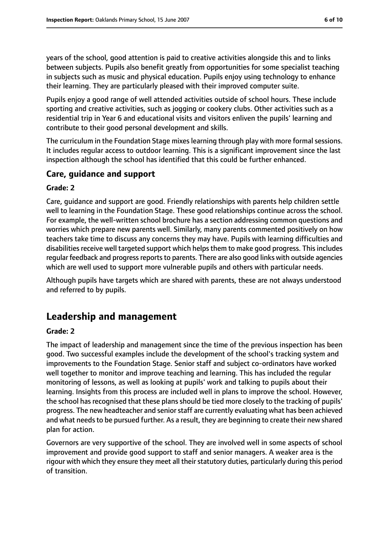years of the school, good attention is paid to creative activities alongside this and to links between subjects. Pupils also benefit greatly from opportunities for some specialist teaching in subjects such as music and physical education. Pupils enjoy using technology to enhance their learning. They are particularly pleased with their improved computer suite.

Pupils enjoy a good range of well attended activities outside of school hours. These include sporting and creative activities, such as jogging or cookery clubs. Other activities such as a residential trip in Year 6 and educational visits and visitors enliven the pupils' learning and contribute to their good personal development and skills.

The curriculum in the Foundation Stage mixes learning through play with more formal sessions. It includes regular access to outdoor learning. This is a significant improvement since the last inspection although the school has identified that this could be further enhanced.

## **Care, guidance and support**

#### **Grade: 2**

Care, guidance and support are good. Friendly relationships with parents help children settle well to learning in the Foundation Stage. These good relationships continue across the school. For example, the well-written school brochure has a section addressing common questions and worries which prepare new parents well. Similarly, many parents commented positively on how teachers take time to discuss any concerns they may have. Pupils with learning difficulties and disabilities receive well targeted support which helps them to make good progress. This includes regular feedback and progress reports to parents. There are also good links with outside agencies which are well used to support more vulnerable pupils and others with particular needs.

Although pupils have targets which are shared with parents, these are not always understood and referred to by pupils.

# **Leadership and management**

#### **Grade: 2**

The impact of leadership and management since the time of the previous inspection has been good. Two successful examples include the development of the school's tracking system and improvements to the Foundation Stage. Senior staff and subject co-ordinators have worked well together to monitor and improve teaching and learning. This has included the regular monitoring of lessons, as well as looking at pupils' work and talking to pupils about their learning. Insights from this process are included well in plans to improve the school. However, the school has recognised that these plans should be tied more closely to the tracking of pupils' progress. The new headteacher and senior staff are currently evaluating what has been achieved and what needs to be pursued further. As a result, they are beginning to create their new shared plan for action.

Governors are very supportive of the school. They are involved well in some aspects of school improvement and provide good support to staff and senior managers. A weaker area is the rigour with which they ensure they meet all their statutory duties, particularly during this period of transition.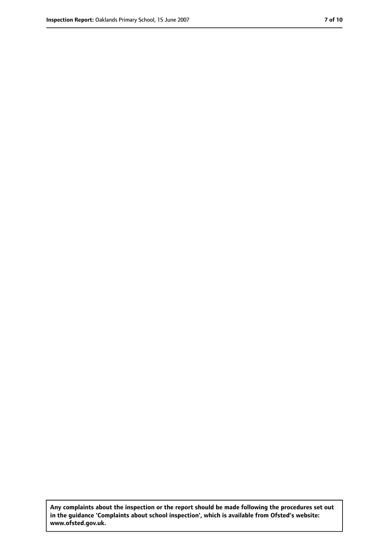**Any complaints about the inspection or the report should be made following the procedures set out in the guidance 'Complaints about school inspection', which is available from Ofsted's website: www.ofsted.gov.uk.**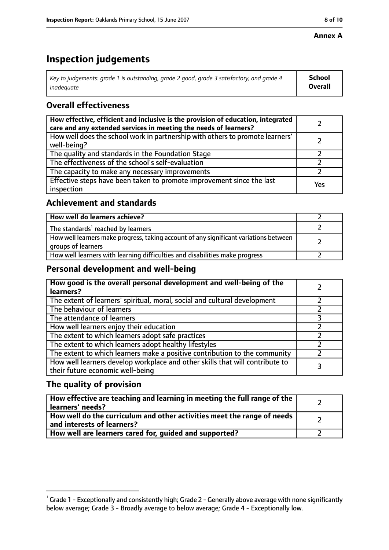#### **Annex A**

# **Inspection judgements**

| Key to judgements: grade 1 is outstanding, grade 2 good, grade 3 satisfactory, and grade 4 $\,$ | <b>School</b>  |
|-------------------------------------------------------------------------------------------------|----------------|
| inadequate                                                                                      | <b>Overall</b> |

## **Overall effectiveness**

| How effective, efficient and inclusive is the provision of education, integrated<br>care and any extended services in meeting the needs of learners? |     |
|------------------------------------------------------------------------------------------------------------------------------------------------------|-----|
| How well does the school work in partnership with others to promote learners'<br>well-being?                                                         |     |
| The quality and standards in the Foundation Stage                                                                                                    |     |
| The effectiveness of the school's self-evaluation                                                                                                    |     |
| The capacity to make any necessary improvements                                                                                                      |     |
| Effective steps have been taken to promote improvement since the last<br>inspection                                                                  | Yes |

## **Achievement and standards**

| How well do learners achieve?                                                                               |  |
|-------------------------------------------------------------------------------------------------------------|--|
| The standards <sup>1</sup> reached by learners                                                              |  |
| How well learners make progress, taking account of any significant variations between<br>groups of learners |  |
| How well learners with learning difficulties and disabilities make progress                                 |  |

## **Personal development and well-being**

| How good is the overall personal development and well-being of the<br>learners?                                  |  |
|------------------------------------------------------------------------------------------------------------------|--|
| The extent of learners' spiritual, moral, social and cultural development                                        |  |
| The behaviour of learners                                                                                        |  |
| The attendance of learners                                                                                       |  |
| How well learners enjoy their education                                                                          |  |
| The extent to which learners adopt safe practices                                                                |  |
| The extent to which learners adopt healthy lifestyles                                                            |  |
| The extent to which learners make a positive contribution to the community                                       |  |
| How well learners develop workplace and other skills that will contribute to<br>their future economic well-being |  |

## **The quality of provision**

| How effective are teaching and learning in meeting the full range of the<br>learners' needs?          |  |
|-------------------------------------------------------------------------------------------------------|--|
| How well do the curriculum and other activities meet the range of needs<br>and interests of learners? |  |
| How well are learners cared for, quided and supported?                                                |  |

 $^1$  Grade 1 - Exceptionally and consistently high; Grade 2 - Generally above average with none significantly below average; Grade 3 - Broadly average to below average; Grade 4 - Exceptionally low.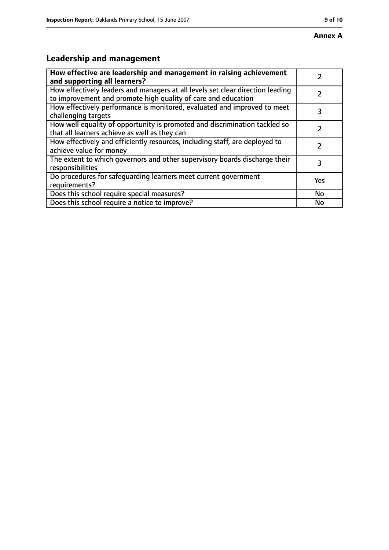# **Leadership and management**

| How effective are leadership and management in raising achievement<br>and supporting all learners?                                              |     |
|-------------------------------------------------------------------------------------------------------------------------------------------------|-----|
| How effectively leaders and managers at all levels set clear direction leading<br>to improvement and promote high quality of care and education |     |
| How effectively performance is monitored, evaluated and improved to meet<br>challenging targets                                                 | 3   |
| How well equality of opportunity is promoted and discrimination tackled so<br>that all learners achieve as well as they can                     |     |
| How effectively and efficiently resources, including staff, are deployed to<br>achieve value for money                                          | 7   |
| The extent to which governors and other supervisory boards discharge their<br>responsibilities                                                  | 3   |
| Do procedures for safequarding learners meet current government<br>requirements?                                                                | Yes |
| Does this school require special measures?                                                                                                      | No  |
| Does this school require a notice to improve?                                                                                                   | No  |